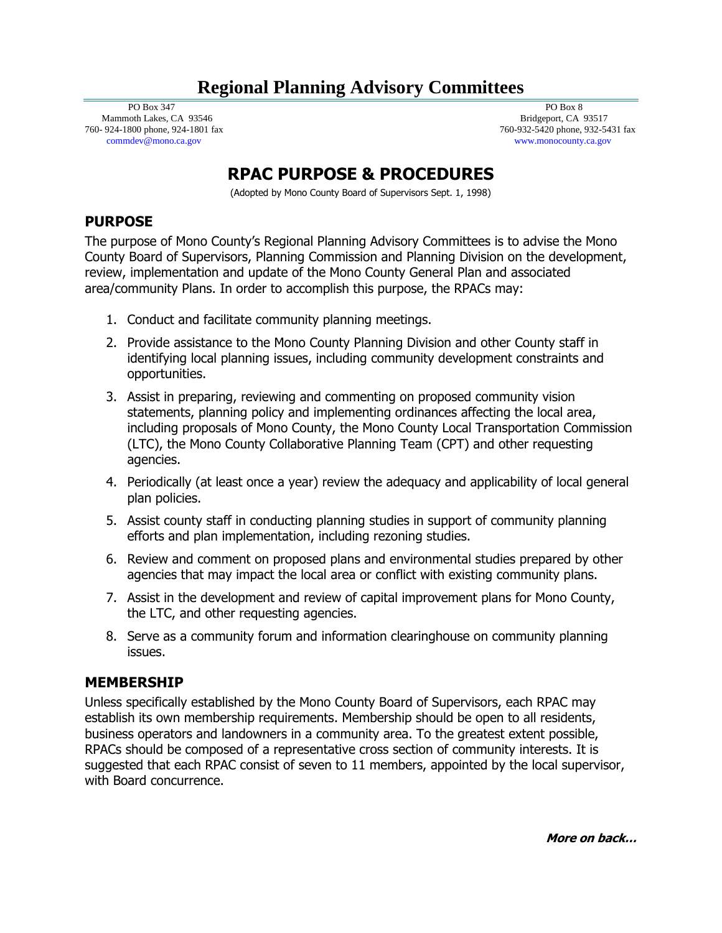## **Regional Planning Advisory Committees**

 PO Box 347 Mammoth Lakes, CA 93546 760- 924-1800 phone, 924-1801 fax commdev@mono.ca.gov

 PO Box 8 Bridgeport, CA 93517 760-932-5420 phone, 932-5431 fax www.monocounty.ca.gov

# **RPAC PURPOSE & PROCEDURES**

(Adopted by Mono County Board of Supervisors Sept. 1, 1998)

#### **PURPOSE**

The purpose of Mono County's Regional Planning Advisory Committees is to advise the Mono County Board of Supervisors, Planning Commission and Planning Division on the development, review, implementation and update of the Mono County General Plan and associated area/community Plans. In order to accomplish this purpose, the RPACs may:

- 1. Conduct and facilitate community planning meetings.
- 2. Provide assistance to the Mono County Planning Division and other County staff in identifying local planning issues, including community development constraints and opportunities.
- 3. Assist in preparing, reviewing and commenting on proposed community vision statements, planning policy and implementing ordinances affecting the local area, including proposals of Mono County, the Mono County Local Transportation Commission (LTC), the Mono County Collaborative Planning Team (CPT) and other requesting agencies.
- 4. Periodically (at least once a year) review the adequacy and applicability of local general plan policies.
- 5. Assist county staff in conducting planning studies in support of community planning efforts and plan implementation, including rezoning studies.
- 6. Review and comment on proposed plans and environmental studies prepared by other agencies that may impact the local area or conflict with existing community plans.
- 7. Assist in the development and review of capital improvement plans for Mono County, the LTC, and other requesting agencies.
- 8. Serve as a community forum and information clearinghouse on community planning issues.

#### **MEMBERSHIP**

Unless specifically established by the Mono County Board of Supervisors, each RPAC may establish its own membership requirements. Membership should be open to all residents, business operators and landowners in a community area. To the greatest extent possible, RPACs should be composed of a representative cross section of community interests. It is suggested that each RPAC consist of seven to 11 members, appointed by the local supervisor, with Board concurrence.

**More on back…**